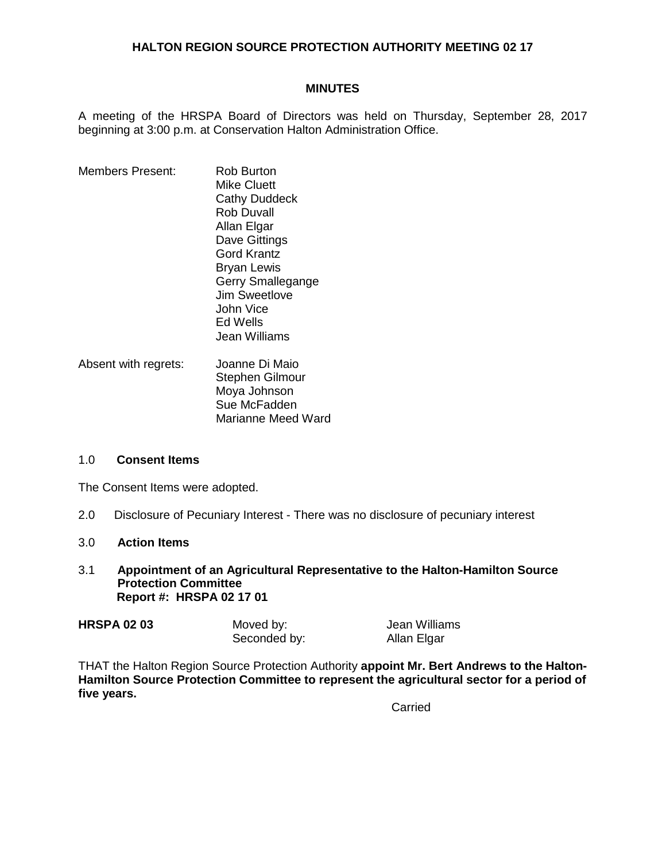# **HALTON REGION SOURCE PROTECTION AUTHORITY MEETING 02 17**

#### **MINUTES**

A meeting of the HRSPA Board of Directors was held on Thursday, September 28, 2017 beginning at 3:00 p.m. at Conservation Halton Administration Office.

- Members Present: Rob Burton Mike Cluett Cathy Duddeck Rob Duvall Allan Elgar Dave Gittings Gord Krantz Bryan Lewis Gerry Smallegange Jim Sweetlove John Vice Ed Wells Jean Williams Absent with regrets: Joanne Di Maio
	- Stephen Gilmour Moya Johnson Sue McFadden Marianne Meed Ward

#### 1.0 **Consent Items**

The Consent Items were adopted.

2.0 Disclosure of Pecuniary Interest - There was no disclosure of pecuniary interest

## 3.0 **Action Items**

3.1 **Appointment of an Agricultural Representative to the Halton-Hamilton Source Protection Committee Report #: HRSPA 02 17 01**

| <b>HRSPA 02 03</b> | Moved by:    | Jean Williams |
|--------------------|--------------|---------------|
|                    | Seconded by: | Allan Elgar   |

THAT the Halton Region Source Protection Authority **appoint Mr. Bert Andrews to the Halton-Hamilton Source Protection Committee to represent the agricultural sector for a period of five years.**

**Carried**